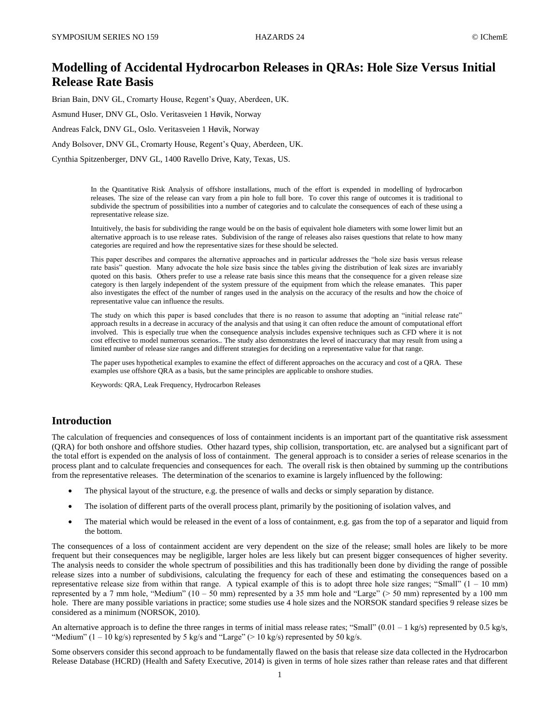# **Modelling of Accidental Hydrocarbon Releases in QRAs: Hole Size Versus Initial Release Rate Basis**

Brian Bain, DNV GL, Cromarty House, Regent's Quay, Aberdeen, UK.

Asmund Huser, DNV GL, Oslo. Veritasveien 1 Høvik, Norway

Andreas Falck, DNV GL, Oslo. Veritasveien 1 Høvik, Norway

Andy Bolsover, DNV GL, Cromarty House, Regent's Quay, Aberdeen, UK.

Cynthia Spitzenberger, DNV GL, 1400 Ravello Drive, Katy, Texas, US.

In the Quantitative Risk Analysis of offshore installations, much of the effort is expended in modelling of hydrocarbon releases. The size of the release can vary from a pin hole to full bore. To cover this range of outcomes it is traditional to subdivide the spectrum of possibilities into a number of categories and to calculate the consequences of each of these using a representative release size.

Intuitively, the basis for subdividing the range would be on the basis of equivalent hole diameters with some lower limit but an alternative approach is to use release rates. Subdivision of the range of releases also raises questions that relate to how many categories are required and how the representative sizes for these should be selected.

This paper describes and compares the alternative approaches and in particular addresses the "hole size basis versus release rate basis" question. Many advocate the hole size basis since the tables giving the distribution of leak sizes are invariably quoted on this basis. Others prefer to use a release rate basis since this means that the consequence for a given release size category is then largely independent of the system pressure of the equipment from which the release emanates. This paper also investigates the effect of the number of ranges used in the analysis on the accuracy of the results and how the choice of representative value can influence the results.

The study on which this paper is based concludes that there is no reason to assume that adopting an "initial release rate" approach results in a decrease in accuracy of the analysis and that using it can often reduce the amount of computational effort involved. This is especially true when the consequence analysis includes expensive techniques such as CFD where it is not cost effective to model numerous scenarios.. The study also demonstrates the level of inaccuracy that may result from using a limited number of release size ranges and different strategies for deciding on a representative value for that range.

The paper uses hypothetical examples to examine the effect of different approaches on the accuracy and cost of a QRA. These examples use offshore QRA as a basis, but the same principles are applicable to onshore studies.

Keywords: QRA, Leak Frequency, Hydrocarbon Releases

### **Introduction**

The calculation of frequencies and consequences of loss of containment incidents is an important part of the quantitative risk assessment (QRA) for both onshore and offshore studies. Other hazard types, ship collision, transportation, etc. are analysed but a significant part of the total effort is expended on the analysis of loss of containment. The general approach is to consider a series of release scenarios in the process plant and to calculate frequencies and consequences for each. The overall risk is then obtained by summing up the contributions from the representative releases. The determination of the scenarios to examine is largely influenced by the following:

- The physical layout of the structure, e.g. the presence of walls and decks or simply separation by distance.
- The isolation of different parts of the overall process plant, primarily by the positioning of isolation valves, and
- The material which would be released in the event of a loss of containment, e.g. gas from the top of a separator and liquid from the bottom.

The consequences of a loss of containment accident are very dependent on the size of the release; small holes are likely to be more frequent but their consequences may be negligible, larger holes are less likely but can present bigger consequences of higher severity. The analysis needs to consider the whole spectrum of possibilities and this has traditionally been done by dividing the range of possible release sizes into a number of subdivisions, calculating the frequency for each of these and estimating the consequences based on a representative release size from within that range. A typical example of this is to adopt three hole size ranges; "Small"  $(1 - 10 \text{ mm})$ represented by a 7 mm hole, "Medium" (10 – 50 mm) represented by a 35 mm hole and "Large" (> 50 mm) represented by a 100 mm hole. There are many possible variations in practice; some studies use 4 hole sizes and the NORSOK standard specifies 9 release sizes be considered as a minimum (NORSOK, 2010).

An alternative approach is to define the three ranges in terms of initial mass release rates; "Small"  $(0.01 - 1 \text{ kg/s})$  represented by 0.5 kg/s, "Medium"  $(1 - 10 \text{ kg/s})$  represented by 5 kg/s and "Large" (> 10 kg/s) represented by 50 kg/s.

Some observers consider this second approach to be fundamentally flawed on the basis that release size data collected in the Hydrocarbon Release Database (HCRD) (Health and Safety Executive, 2014) is given in terms of hole sizes rather than release rates and that different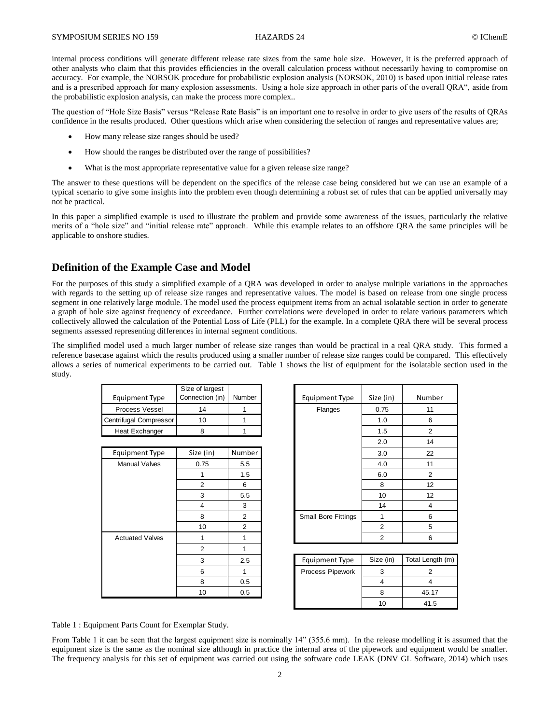internal process conditions will generate different release rate sizes from the same hole size. However, it is the preferred approach of other analysts who claim that this provides efficiencies in the overall calculation process without necessarily having to compromise on accuracy. For example, the NORSOK procedure for probabilistic explosion analysis (NORSOK, 2010) is based upon initial release rates and is a prescribed approach for many explosion assessments. Using a hole size approach in other parts of the overall QRA", aside from the probabilistic explosion analysis, can make the process more complex..

The question of "Hole Size Basis" versus "Release Rate Basis" is an important one to resolve in order to give users of the results of QRAs confidence in the results produced. Other questions which arise when considering the selection of ranges and representative values are;

- How many release size ranges should be used?
- How should the ranges be distributed over the range of possibilities?
- What is the most appropriate representative value for a given release size range?

The answer to these questions will be dependent on the specifics of the release case being considered but we can use an example of a typical scenario to give some insights into the problem even though determining a robust set of rules that can be applied universally may not be practical.

In this paper a simplified example is used to illustrate the problem and provide some awareness of the issues, particularly the relative merits of a "hole size" and "initial release rate" approach. While this example relates to an offshore QRA the same principles will be applicable to onshore studies.

# **Definition of the Example Case and Model**

For the purposes of this study a simplified example of a QRA was developed in order to analyse multiple variations in the approaches with regards to the setting up of release size ranges and representative values. The model is based on release from one single process segment in one relatively large module. The model used the process equipment items from an actual isolatable section in order to generate a graph of hole size against frequency of exceedance. Further correlations were developed in order to relate various parameters which collectively allowed the calculation of the Potential Loss of Life (PLL) for the example. In a complete QRA there will be several process segments assessed representing differences in internal segment conditions.

The simplified model used a much larger number of release size ranges than would be practical in a real QRA study. This formed a reference basecase against which the results produced using a smaller number of release size ranges could be compared. This effectively allows a series of numerical experiments to be carried out. Table 1 shows the list of equipment for the isolatable section used in the study.

| Equipment Type         | Size of largest<br>Connection (in) | Number | Equipment Type | Size (in) | Numb |
|------------------------|------------------------------------|--------|----------------|-----------|------|
| Process Vessel         |                                    |        | <b>Flanges</b> | 0.75      |      |
| Centrifugal Compressor | 10                                 |        |                | 1.0       |      |
| Heat Exchanger         |                                    |        |                | 1.5       |      |

| Size (in)<br>Number<br><b>Equipment Type</b><br>3.0<br>0.75<br><b>Manual Valves</b><br>5.5<br>4.0<br>1.5<br>6.0<br>1<br>$\overline{2}$<br>6<br>8<br>3<br>5.5<br>10<br>$\overline{4}$<br>3<br>14<br>8<br><b>Small Bore Fittings</b><br>2<br>10<br>2<br>2<br>2<br><b>Actuated Valves</b><br>1<br>1<br>$\overline{2}$<br>Size (in)<br><b>Equipment Type</b><br>3<br>2.5<br>6<br>Process Pipework<br>3<br>8<br>0.5<br>$\overline{4}$<br>10<br>8<br>0.5 |  |  |  |                   |
|----------------------------------------------------------------------------------------------------------------------------------------------------------------------------------------------------------------------------------------------------------------------------------------------------------------------------------------------------------------------------------------------------------------------------------------------------|--|--|--|-------------------|
|                                                                                                                                                                                                                                                                                                                                                                                                                                                    |  |  |  |                   |
|                                                                                                                                                                                                                                                                                                                                                                                                                                                    |  |  |  |                   |
|                                                                                                                                                                                                                                                                                                                                                                                                                                                    |  |  |  |                   |
|                                                                                                                                                                                                                                                                                                                                                                                                                                                    |  |  |  |                   |
|                                                                                                                                                                                                                                                                                                                                                                                                                                                    |  |  |  |                   |
|                                                                                                                                                                                                                                                                                                                                                                                                                                                    |  |  |  |                   |
|                                                                                                                                                                                                                                                                                                                                                                                                                                                    |  |  |  |                   |
|                                                                                                                                                                                                                                                                                                                                                                                                                                                    |  |  |  |                   |
|                                                                                                                                                                                                                                                                                                                                                                                                                                                    |  |  |  |                   |
|                                                                                                                                                                                                                                                                                                                                                                                                                                                    |  |  |  |                   |
|                                                                                                                                                                                                                                                                                                                                                                                                                                                    |  |  |  | <b>Total Lend</b> |
|                                                                                                                                                                                                                                                                                                                                                                                                                                                    |  |  |  |                   |
|                                                                                                                                                                                                                                                                                                                                                                                                                                                    |  |  |  |                   |
|                                                                                                                                                                                                                                                                                                                                                                                                                                                    |  |  |  |                   |

| Size of largest<br>Connection (in) | Number         | <b>Equipment Type</b>      | Size (in)      | Number         |
|------------------------------------|----------------|----------------------------|----------------|----------------|
| 14                                 |                | Flanges                    | 0.75           | 11             |
| 10                                 |                |                            | 1.0            | 6              |
| 8                                  |                |                            | 1.5            | $\overline{2}$ |
|                                    |                |                            | 2.0            | 14             |
| Size (in)                          | Number         |                            | 3.0            | 22             |
| 0.75                               | 5.5            |                            | 4.0            | 11             |
|                                    | 1.5            |                            | 6.0            | $\overline{2}$ |
| 2                                  | 6              |                            | 8              | 12             |
| 3                                  | 5.5            |                            | 10             | 12             |
| $\overline{4}$                     | 3              |                            | 14             | $\overline{4}$ |
| 8                                  | $\overline{2}$ | <b>Small Bore Fittings</b> | 1              | 6              |
| 10                                 | $\overline{2}$ |                            | $\overline{2}$ | 5              |
|                                    |                |                            | $\overline{2}$ | 6              |
|                                    |                |                            |                |                |

| 3  | 2.5 | Equipment Type   | Size (in) | Total Length (m) |
|----|-----|------------------|-----------|------------------|
| 6  |     | Process Pipework |           |                  |
| 8  | 0.5 |                  |           |                  |
| 10 | 0.5 |                  |           | 45.17            |
|    |     |                  |           | 41.5             |

Table 1 : Equipment Parts Count for Exemplar Study.

From Table 1 it can be seen that the largest equipment size is nominally 14" (355.6 mm). In the release modelling it is assumed that the equipment size is the same as the nominal size although in practice the internal area of the pipework and equipment would be smaller. The frequency analysis for this set of equipment was carried out using the software code LEAK (DNV GL Software, 2014) which uses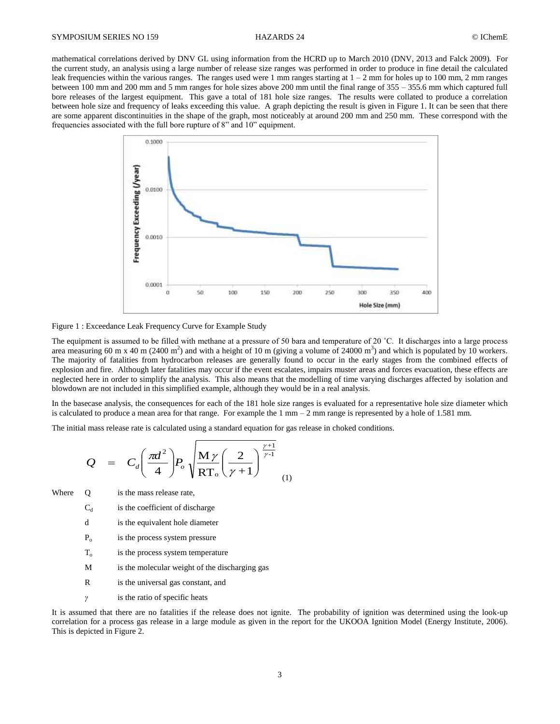mathematical correlations derived by DNV GL using information from the HCRD up to March 2010 (DNV, 2013 and Falck 2009). For the current study, an analysis using a large number of release size ranges was performed in order to produce in fine detail the calculated leak frequencies within the various ranges. The ranges used were 1 mm ranges starting at  $1 - 2$  mm for holes up to 100 mm, 2 mm ranges between 100 mm and 200 mm and 5 mm ranges for hole sizes above 200 mm until the final range of 355 – 355.6 mm which captured full bore releases of the largest equipment. This gave a total of 181 hole size ranges. The results were collated to produce a correlation between hole size and frequency of leaks exceeding this value. A graph depicting the result is given in Figure 1. It can be seen that there are some apparent discontinuities in the shape of the graph, most noticeably at around 200 mm and 250 mm. These correspond with the frequencies associated with the full bore rupture of 8" and 10" equipment.



## Figure 1 : Exceedance Leak Frequency Curve for Example Study

The equipment is assumed to be filled with methane at a pressure of 50 bara and temperature of 20 ˚C. It discharges into a large process area measuring 60 m x 40 m (2400 m<sup>2</sup>) and with a height of 10 m (giving a volume of 24000 m<sup>3</sup>) and which is populated by 10 workers. The majority of fatalities from hydrocarbon releases are generally found to occur in the early stages from the combined effects of explosion and fire. Although later fatalities may occur if the event escalates, impairs muster areas and forces evacuation, these effects are neglected here in order to simplify the analysis. This also means that the modelling of time varying discharges affected by isolation and blowdown are not included in this simplified example, although they would be in a real analysis.

In the basecase analysis, the consequences for each of the 181 hole size ranges is evaluated for a representative hole size diameter which is calculated to produce a mean area for that range. For example the  $1 \text{ mm} - 2 \text{ mm}$  range is represented by a hole of 1.581 mm.

The initial mass release rate is calculated using a standard equation for gas release in choked conditions.

$$
Q = C_d \left(\frac{\pi d^2}{4}\right) P_o \sqrt{\frac{M \gamma}{RT_o} \left(\frac{2}{\gamma + 1}\right)^{\frac{\gamma + 1}{\gamma - 1}}}
$$
 (1)

Where Q is the mass release rate,

- $C_d$ is the coefficient of discharge
- d is the equivalent hole diameter
- $P_{\alpha}$ is the process system pressure
- $T_{o}$ is the process system temperature
- M is the molecular weight of the discharging gas
- R is the universal gas constant, and
- *γ* is the ratio of specific heats

It is assumed that there are no fatalities if the release does not ignite. The probability of ignition was determined using the look-up correlation for a process gas release in a large module as given in the report for the UKOOA Ignition Model (Energy Institute, 2006). This is depicted in Figure 2.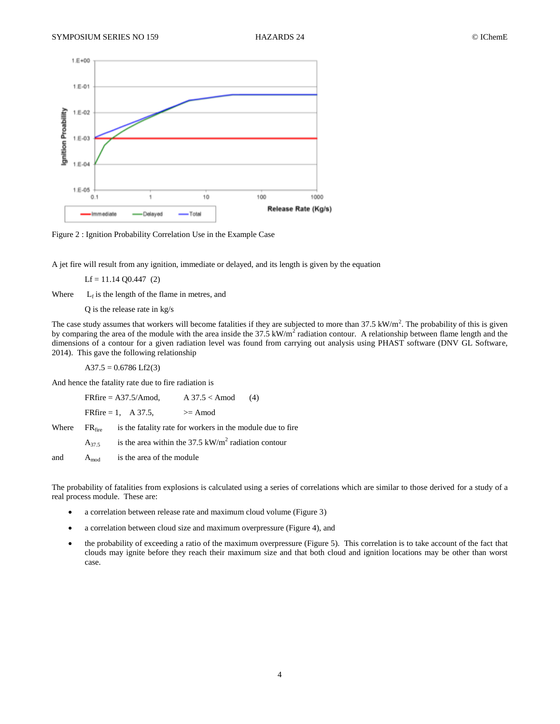



A jet fire will result from any ignition, immediate or delayed, and its length is given by the equation

 $Lf = 11.14$  Q0.447 (2)

Where  $L_f$  is the length of the flame in metres, and

Q is the release rate in kg/s

The case study assumes that workers will become fatalities if they are subjected to more than  $37.5 \text{ kW/m}^2$ . The probability of this is given by comparing the area of the module with the area inside the  $37.5 \text{ kW/m}^2$  radiation contour. A relationship between flame length and the dimensions of a contour for a given radiation level was found from carrying out analysis using PHAST software (DNV GL Software, 2014). This gave the following relationship

 $A37.5 = 0.6786$  Lf2(3)

And hence the fatality rate due to fire radiation is

FRfire =  $A37.5/A \text{mod}$ ,  $A 37.5 < A \text{mod}$  (4) FRfire = 1, A 37.5,  $> =$  Amod Where  $FR_{fire}$  is the fatality rate for workers in the module due to fire  $A_{37.5}$  is the area within the 37.5 kW/m<sup>2</sup> radiation contour and  $A_{mod}$  is the area of the module

The probability of fatalities from explosions is calculated using a series of correlations which are similar to those derived for a study of a real process module. These are:

- a correlation between release rate and maximum cloud volume (Figure 3)
- a correlation between cloud size and maximum overpressure (Figure 4), and
- the probability of exceeding a ratio of the maximum overpressure (Figure 5). This correlation is to take account of the fact that clouds may ignite before they reach their maximum size and that both cloud and ignition locations may be other than worst case.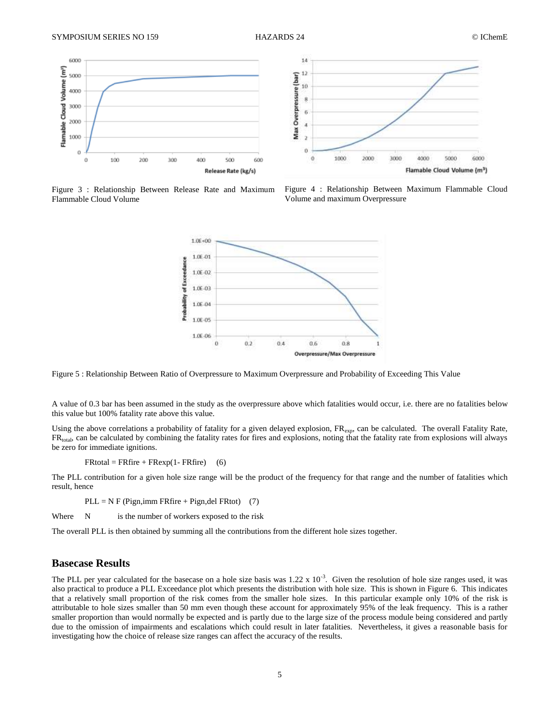



Figure 3 : Relationship Between Release Rate and Maximum Flammable Cloud Volume

Figure 4 : Relationship Between Maximum Flammable Cloud Volume and maximum Overpressure



Figure 5 : Relationship Between Ratio of Overpressure to Maximum Overpressure and Probability of Exceeding This Value

A value of 0.3 bar has been assumed in the study as the overpressure above which fatalities would occur, i.e. there are no fatalities below this value but 100% fatality rate above this value.

Using the above correlations a probability of fatality for a given delayed explosion, FR<sub>exp</sub>, can be calculated. The overall Fatality Rate,  $FR<sub>total</sub>$ , can be calculated by combining the fatality rates for fires and explosions, noting that the fatality rate from explosions will always be zero for immediate ignitions.

 $FRtotal = FRfire + FRexp(1 - FRfire)$  (6)

The PLL contribution for a given hole size range will be the product of the frequency for that range and the number of fatalities which result, hence

 $PLL = N F (Pign, imm FRfire + Pign, del FRtot)$  (7)

Where  $N$  is the number of workers exposed to the risk

The overall PLL is then obtained by summing all the contributions from the different hole sizes together.

# **Basecase Results**

The PLL per year calculated for the basecase on a hole size basis was  $1.22 \times 10^{-3}$ . Given the resolution of hole size ranges used, it was also practical to produce a PLL Exceedance plot which presents the distribution with hole size. This is shown in Figure 6. This indicates that a relatively small proportion of the risk comes from the smaller hole sizes. In this particular example only 10% of the risk is attributable to hole sizes smaller than 50 mm even though these account for approximately 95% of the leak frequency. This is a rather smaller proportion than would normally be expected and is partly due to the large size of the process module being considered and partly due to the omission of impairments and escalations which could result in later fatalities. Nevertheless, it gives a reasonable basis for investigating how the choice of release size ranges can affect the accuracy of the results.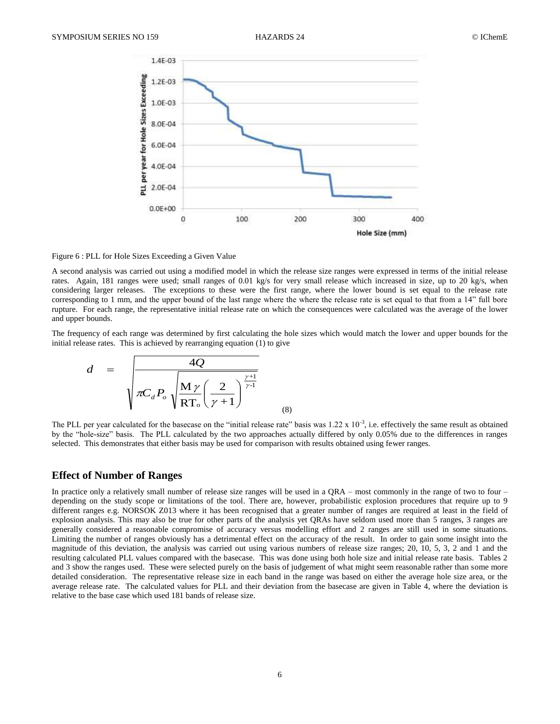

### Figure 6 : PLL for Hole Sizes Exceeding a Given Value

A second analysis was carried out using a modified model in which the release size ranges were expressed in terms of the initial release rates. Again, 181 ranges were used; small ranges of 0.01 kg/s for very small release which increased in size, up to 20 kg/s, when considering larger releases. The exceptions to these were the first range, where the lower bound is set equal to the release rate corresponding to 1 mm, and the upper bound of the last range where the where the release rate is set equal to that from a 14" full bore rupture. For each range, the representative initial release rate on which the consequences were calculated was the average of the lower and upper bounds.

The frequency of each range was determined by first calculating the hole sizes which would match the lower and upper bounds for the initial release rates. This is achieved by rearranging equation (1) to give

$$
d = \frac{4Q}{\sqrt{\pi C_d P_o} \sqrt{\frac{M \gamma}{RT_o} \left(\frac{2}{\gamma + 1}\right)^{\frac{\gamma + 1}{\gamma - 1}}}}
$$
 (8)

The PLL per year calculated for the basecase on the "initial release rate" basis was  $1.22 \times 10^{-3}$ , i.e. effectively the same result as obtained by the "hole-size" basis. The PLL calculated by the two approaches actually differed by only 0.05% due to the differences in ranges selected. This demonstrates that either basis may be used for comparison with results obtained using fewer ranges.

# **Effect of Number of Ranges**

In practice only a relatively small number of release size ranges will be used in a QRA – most commonly in the range of two to four – depending on the study scope or limitations of the tool. There are, however, probabilistic explosion procedures that require up to 9 different ranges e.g. NORSOK Z013 where it has been recognised that a greater number of ranges are required at least in the field of explosion analysis. This may also be true for other parts of the analysis yet QRAs have seldom used more than 5 ranges, 3 ranges are generally considered a reasonable compromise of accuracy versus modelling effort and 2 ranges are still used in some situations. Limiting the number of ranges obviously has a detrimental effect on the accuracy of the result. In order to gain some insight into the magnitude of this deviation, the analysis was carried out using various numbers of release size ranges; 20, 10, 5, 3, 2 and 1 and the resulting calculated PLL values compared with the basecase. This was done using both hole size and initial release rate basis. Tables 2 and 3 show the ranges used. These were selected purely on the basis of judgement of what might seem reasonable rather than some more detailed consideration. The representative release size in each band in the range was based on either the average hole size area, or the average release rate. The calculated values for PLL and their deviation from the basecase are given in Table 4, where the deviation is relative to the base case which used 181 bands of release size.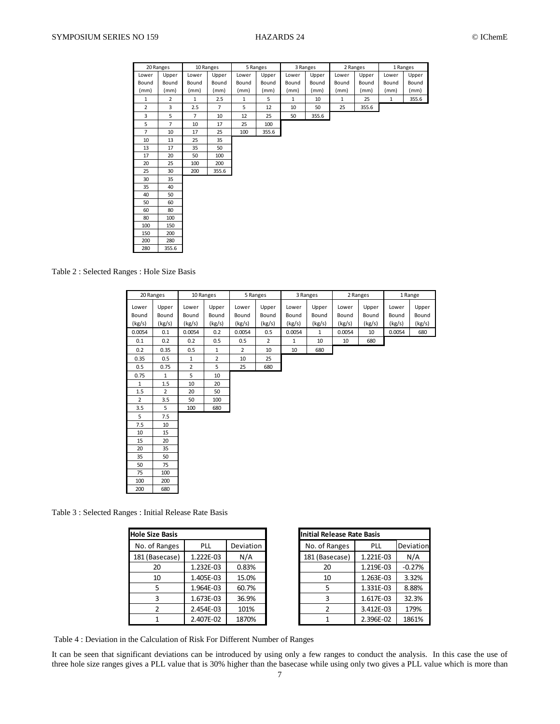|                | 20 Ranges      |                | 10 Ranges      |              | 5 Ranges | 3 Ranges     |       | 2 Ranges     |       | 1 Ranges     |       |
|----------------|----------------|----------------|----------------|--------------|----------|--------------|-------|--------------|-------|--------------|-------|
| Lower          | Upper          | Lower          | Upper          | Lower        | Upper    | Lower        | Upper | Lower        | Upper | Lower        | Upper |
| Bound          | Bound          | Bound          | Bound          | Bound        | Bound    | Bound        | Bound | Bound        | Bound | Bound        | Bound |
| (mm)           | (mm)           | (mm)           | (mm)           | (mm)         | (mm)     | (mm)         | (mm)  | (mm)         | (mm)  | (mm)         | (mm)  |
| $\mathbf 1$    | $\overline{2}$ | $\mathbf{1}$   | 2.5            | $\mathbf{1}$ | 5        | $\mathbf{1}$ | 10    | $\mathbf{1}$ | 25    | $\mathbf{1}$ | 355.6 |
| $\overline{2}$ | 3              | 2.5            | $\overline{7}$ | 5            | 12       | 10           | 50    | 25           | 355.6 |              |       |
| 3              | 5              | $\overline{7}$ | 10             | 12           | 25       | 50           | 355.6 |              |       |              |       |
| 5              | $\overline{7}$ | 10             | 17             | 25           | 100      |              |       |              |       |              |       |
| 7              | 10             | 17             | 25             | 100          | 355.6    |              |       |              |       |              |       |
| 10             | 13             | 25             | 35             |              |          |              |       |              |       |              |       |
| 13             | 17             | 35             | 50             |              |          |              |       |              |       |              |       |
| 17             | 20             | 50             | 100            |              |          |              |       |              |       |              |       |
| 20             | 25             | 100            | 200            |              |          |              |       |              |       |              |       |
| 25             | 30             | 200            | 355.6          |              |          |              |       |              |       |              |       |
| 30             | 35             |                |                |              |          |              |       |              |       |              |       |
| 35             | 40             |                |                |              |          |              |       |              |       |              |       |
| 40             | 50             |                |                |              |          |              |       |              |       |              |       |
| 50             | 60             |                |                |              |          |              |       |              |       |              |       |
| 60             | 80             |                |                |              |          |              |       |              |       |              |       |
| 80             | 100            |                |                |              |          |              |       |              |       |              |       |
| 100            | 150            |                |                |              |          |              |       |              |       |              |       |
| 150            | 200            |                |                |              |          |              |       |              |       |              |       |
| 200            | 280            |                |                |              |          |              |       |              |       |              |       |
| 280            | 355.6          |                |                |              |          |              |       |              |       |              |       |

Table 2 : Selected Ranges : Hole Size Basis

|                                                        | Lower               | Upper                         | Lower               | Upper                 | Lower             | Upper           | Lower              | Upper                             | Lower             | Upper           | Lower           | Upper           |
|--------------------------------------------------------|---------------------|-------------------------------|---------------------|-----------------------|-------------------|-----------------|--------------------|-----------------------------------|-------------------|-----------------|-----------------|-----------------|
|                                                        | Bound               | Bound                         | Bound               | Bound                 | Bound             | Bound           | Bound              | Bound                             | Bound             | Bound           | Bound           | Bound           |
|                                                        | (mm)                | (mm)                          | (mm)                | (mm)                  | (mm)              | (mm)            | (mm)               | (mm)                              | (mm)              | (mm)            | (mm)            | (mm)            |
|                                                        | 1<br>$\mathbf 2$    | $\overline{2}$<br>$\mathsf 3$ | $\mathbf{1}$<br>2.5 | 2.5<br>$\overline{7}$ | $\mathbf{1}$<br>5 | 5<br>12         | $\mathbf{1}$<br>10 | 10<br>50                          | $\,$ 1 $\,$<br>25 | 25<br>355.6     | $\mathbf 1$     | 355.6           |
|                                                        | $\mathsf 3$         | 5                             | $\sqrt{7}$          | 10                    | 12                | 25              | 50                 | 355.6                             |                   |                 |                 |                 |
|                                                        | 5                   | $\overline{7}$                | 10                  | 17                    | 25                | 100             |                    |                                   |                   |                 |                 |                 |
|                                                        | $\overline{7}$      | $10\,$                        | 17                  | 25                    | 100               | 355.6           |                    |                                   |                   |                 |                 |                 |
|                                                        | $10\,$              | 13                            | 25                  | 35                    |                   |                 |                    |                                   |                   |                 |                 |                 |
|                                                        | 13<br>17            | 17<br>20                      | 35<br>50            | 50<br>100             |                   |                 |                    |                                   |                   |                 |                 |                 |
|                                                        | 20                  | 25                            | 100                 | 200                   |                   |                 |                    |                                   |                   |                 |                 |                 |
|                                                        | 25                  | 30                            | 200                 | 355.6                 |                   |                 |                    |                                   |                   |                 |                 |                 |
|                                                        | 30                  | 35                            |                     |                       |                   |                 |                    |                                   |                   |                 |                 |                 |
|                                                        | 35<br>40            | 40<br>50                      |                     |                       |                   |                 |                    |                                   |                   |                 |                 |                 |
|                                                        | 50                  | 60                            |                     |                       |                   |                 |                    |                                   |                   |                 |                 |                 |
|                                                        | 60                  | 80                            |                     |                       |                   |                 |                    |                                   |                   |                 |                 |                 |
|                                                        | 80<br>100           | 100<br>150                    |                     |                       |                   |                 |                    |                                   |                   |                 |                 |                 |
|                                                        | 150                 | 200                           |                     |                       |                   |                 |                    |                                   |                   |                 |                 |                 |
|                                                        | 200                 | 280                           |                     |                       |                   |                 |                    |                                   |                   |                 |                 |                 |
|                                                        | 280                 | 355.6                         |                     |                       |                   |                 |                    |                                   |                   |                 |                 |                 |
| Table 2: Selected Ranges: Hole Size Basis              |                     |                               |                     |                       |                   |                 |                    |                                   |                   |                 |                 |                 |
|                                                        | 20 Ranges           |                               | 10 Ranges           |                       |                   | 5 Ranges        |                    | 3 Ranges                          |                   | 2 Ranges        |                 | 1 Range         |
|                                                        | Lower               | Upper                         | Lower               | Upper                 | Lower             | Upper           | Lower              | Upper                             | Lower             | Upper           | Lower           | Upper           |
|                                                        | Bound<br>(kg/s)     | Bound<br>(kg/s)               | Bound<br>(kg/s)     | Bound<br>(kg/s)       | Bound<br>(kg/s)   | Bound<br>(kg/s) | Bound<br>(kg/s)    | Bound<br>(kg/s)                   | Bound<br>(kg/s)   | Bound<br>(kg/s) | Bound<br>(kg/s) | Bound<br>(kg/s) |
|                                                        | 0.0054              | 0.1                           | 0.0054              | 0.2                   | 0.0054            | 0.5             | 0.0054             | $1\,$                             | 0.0054            | 10              | 0.0054          | 680             |
|                                                        | 0.1                 | 0.2                           | 0.2                 | 0.5                   | 0.5               | $\mathbf 2$     | $\mathbf 1$        | $10\,$                            | 10                | 680             |                 |                 |
|                                                        | 0.2                 | 0.35                          | 0.5                 | $\mathbf 1$           | $\mathbf 2$       | 10              | $10\,$             | 680                               |                   |                 |                 |                 |
|                                                        | 0.35                | 0.5                           | $\mathbf 1$         | $\mathbf 2$           | 10                | 25              |                    |                                   |                   |                 |                 |                 |
|                                                        | 0.5                 | 0.75                          | $\mathbf 2$         | 5                     | 25                | 680             |                    |                                   |                   |                 |                 |                 |
|                                                        | 0.75<br>$\mathbf 1$ | $\mathbf 1$<br>1.5            | 5<br>$10\,$         | 10<br>20              |                   |                 |                    |                                   |                   |                 |                 |                 |
|                                                        | 1.5                 | $\mathbf 2$                   | 20                  | 50                    |                   |                 |                    |                                   |                   |                 |                 |                 |
|                                                        | $\mathbf 2$         | 3.5                           | 50                  | 100                   |                   |                 |                    |                                   |                   |                 |                 |                 |
|                                                        | 3.5                 | 5                             | 100                 | 680                   |                   |                 |                    |                                   |                   |                 |                 |                 |
|                                                        | 5<br>7.5            | 7.5<br>$10\,$                 |                     |                       |                   |                 |                    |                                   |                   |                 |                 |                 |
|                                                        | $10\,$              | 15                            |                     |                       |                   |                 |                    |                                   |                   |                 |                 |                 |
|                                                        | 15                  | 20                            |                     |                       |                   |                 |                    |                                   |                   |                 |                 |                 |
|                                                        | 20                  | 35                            |                     |                       |                   |                 |                    |                                   |                   |                 |                 |                 |
|                                                        | 35<br>50            | 50<br>75                      |                     |                       |                   |                 |                    |                                   |                   |                 |                 |                 |
|                                                        | 75                  | 100                           |                     |                       |                   |                 |                    |                                   |                   |                 |                 |                 |
|                                                        | 100                 | 200                           |                     |                       |                   |                 |                    |                                   |                   |                 |                 |                 |
|                                                        | 200                 | 680                           |                     |                       |                   |                 |                    |                                   |                   |                 |                 |                 |
|                                                        |                     |                               |                     |                       |                   |                 |                    |                                   |                   |                 |                 |                 |
| Table 3 : Selected Ranges : Initial Release Rate Basis |                     |                               |                     |                       |                   |                 |                    | <b>Initial Release Rate Basis</b> |                   |                 |                 |                 |
|                                                        |                     | <b>Hole Size Basis</b>        |                     |                       |                   |                 |                    |                                   |                   | PLL             |                 | Deviation       |
|                                                        |                     | No. of Ranges                 | PLL                 |                       | Deviation         |                 |                    | No. of Ranges                     |                   |                 |                 |                 |
|                                                        |                     | 181 (Basecase)                | 1.222E-03           |                       | N/A               |                 |                    | 181 (Basecase)                    |                   | 1.221E-03       |                 | N/A             |
|                                                        |                     | 20                            |                     | 1.232E-03             | 0.83%             |                 |                    | 20                                |                   | 1.219E-03       |                 | $-0.27%$        |
|                                                        |                     | 10                            |                     | 1.405E-03             | 15.0%             |                 |                    | 10                                |                   | 1.263E-03       |                 | 3.32%           |
|                                                        |                     | 5                             |                     | 1.964E-03             | 60.7%             |                 |                    | 5                                 |                   | 1.331E-03       |                 | 8.88%           |
|                                                        |                     | 3                             | 1.673E-03           |                       | 36.9%             |                 |                    | 3                                 |                   | 1.617E-03       |                 | 32.3%           |
|                                                        |                     | 2                             |                     | 2.454E-03             | 101%              |                 |                    | $\mathbf{2}$                      |                   | 3.412E-03       |                 | 179%            |
|                                                        |                     | $\mathbf{1}$                  |                     | 2.407E-02             | 1870%             |                 |                    | $\mathbf{1}$                      |                   | 2.396E-02       |                 | 1861%           |

Table 3 : Selected Ranges : Initial Release Rate Basis

| <b>Hole Size Basis</b> |           |                  | Initial Release Rate Basis |            |          |
|------------------------|-----------|------------------|----------------------------|------------|----------|
| No. of Ranges          | PLL       | <b>Deviation</b> | No. of Ranges              | <b>PLL</b> | Deviati  |
| 181 (Basecase)         | 1.222E-03 | N/A              | 181 (Basecase)             | 1.221E-03  | N/A      |
| 20                     | 1.232E-03 | 0.83%            | 20                         | 1.219E-03  | $-0.279$ |
| 10                     | 1.405E-03 | 15.0%            | 10                         | 1.263E-03  | 3.32%    |
|                        | 1.964E-03 | 60.7%            |                            | 1.331E-03  | 8.88%    |
| 3                      | 1.673E-03 | 36.9%            |                            | 1.617E-03  | 32.3%    |
|                        | 2.454E-03 | 101%             |                            | 3.412E-03  | 179%     |
|                        | 2.407E-02 | 1870%            |                            | 2.396E-02  | 18619    |

| ole Size Basis |           |           | <b>Initial Release Rate Basis</b> |            |           |
|----------------|-----------|-----------|-----------------------------------|------------|-----------|
| No. of Ranges  | PLL       | Deviation | No. of Ranges                     | <b>PLL</b> | Deviation |
| 181 (Basecase) | 1.222E-03 | N/A       | 181 (Basecase)                    | 1.221E-03  | N/A       |
| 20             | 1.232E-03 | 0.83%     | 20                                | 1.219E-03  | $-0.27%$  |
| 10             | 1.405E-03 | 15.0%     | 10                                | 1.263E-03  | 3.32%     |
|                | 1.964E-03 | 60.7%     | 5                                 | 1.331E-03  | 8.88%     |
| 3              | 1.673E-03 | 36.9%     |                                   | 1.617E-03  | 32.3%     |
|                | 2.454E-03 | 101%      |                                   | 3.412E-03  | 179%      |
|                | 2.407E-02 | 1870%     |                                   | 2.396E-02  | 1861%     |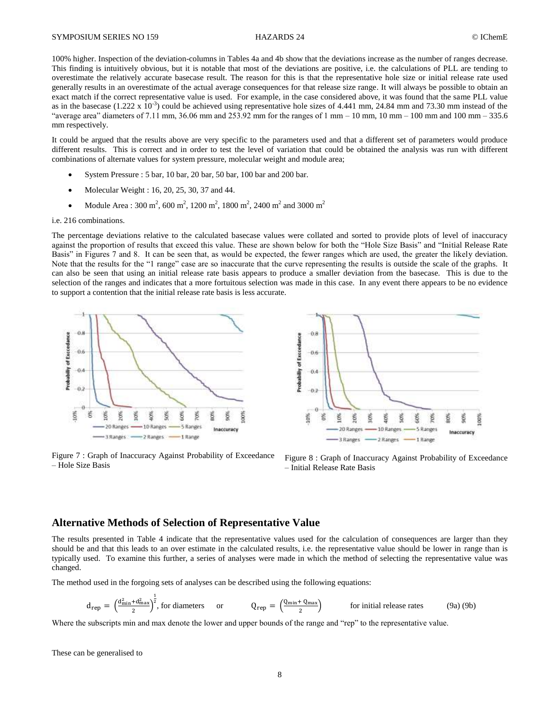100% higher. Inspection of the deviation-columns in Tables 4a and 4b show that the deviations increase as the number of ranges decrease. This finding is intuitively obvious, but it is notable that most of the deviations are positive, i.e. the calculations of PLL are tending to overestimate the relatively accurate basecase result. The reason for this is that the representative hole size or initial release rate used generally results in an overestimate of the actual average consequences for that release size range. It will always be possible to obtain an exact match if the correct representative value is used. For example, in the case considered above, it was found that the same PLL value as in the basecase (1.222 x  $10^{-3}$ ) could be achieved using representative hole sizes of 4.441 mm, 24.84 mm and 73.30 mm instead of the "average area" diameters of 7.11 mm, 36.06 mm and 253.92 mm for the ranges of 1 mm – 10 mm, 10 mm – 100 mm and 100 mm – 335.6 mm respectively.

It could be argued that the results above are very specific to the parameters used and that a different set of parameters would produce different results. This is correct and in order to test the level of variation that could be obtained the analysis was run with different combinations of alternate values for system pressure, molecular weight and module area;

- System Pressure : 5 bar, 10 bar, 20 bar, 50 bar, 100 bar and 200 bar.
- Molecular Weight : 16, 20, 25, 30, 37 and 44.
- Module Area : 300 m<sup>2</sup>, 600 m<sup>2</sup>, 1200 m<sup>2</sup>, 1800 m<sup>2</sup>, 2400 m<sup>2</sup> and 3000 m<sup>2</sup>

### i.e. 216 combinations.

The percentage deviations relative to the calculated basecase values were collated and sorted to provide plots of level of inaccuracy against the proportion of results that exceed this value. These are shown below for both the "Hole Size Basis" and "Initial Release Rate Basis" in Figures 7 and 8. It can be seen that, as would be expected, the fewer ranges which are used, the greater the likely deviation. Note that the results for the "1 range" case are so inaccurate that the curve representing the results is outside the scale of the graphs. It can also be seen that using an initial release rate basis appears to produce a smaller deviation from the basecase. This is due to the selection of the ranges and indicates that a more fortuitous selection was made in this case. In any event there appears to be no evidence to support a contention that the initial release rate basis is less accurate.



Figure 7 : Graph of Inaccuracy Against Probability of Exceedance – Hole Size Basis



Figure 8 : Graph of Inaccuracy Against Probability of Exceedance – Initial Release Rate Basis

# **Alternative Methods of Selection of Representative Value**

The results presented in Table 4 indicate that the representative values used for the calculation of consequences are larger than they should be and that this leads to an over estimate in the calculated results, i.e. the representative value should be lower in range than is typically used. To examine this further, a series of analyses were made in which the method of selecting the representative value was changed.

The method used in the forgoing sets of analyses can be described using the following equations:

$$
d_{rep} = \left(\frac{d_{min}^2 + d_{max}^2}{2}\right)^{\frac{1}{2}}, \text{ for diameters} \qquad \text{or} \qquad Q_{rep} = \left(\frac{Q_{min} + Q_{max}}{2}\right) \qquad \text{for initial release rates} \qquad (9a) \text{ (9b)}
$$

Where the subscripts min and max denote the lower and upper bounds of the range and "rep" to the representative value.

These can be generalised to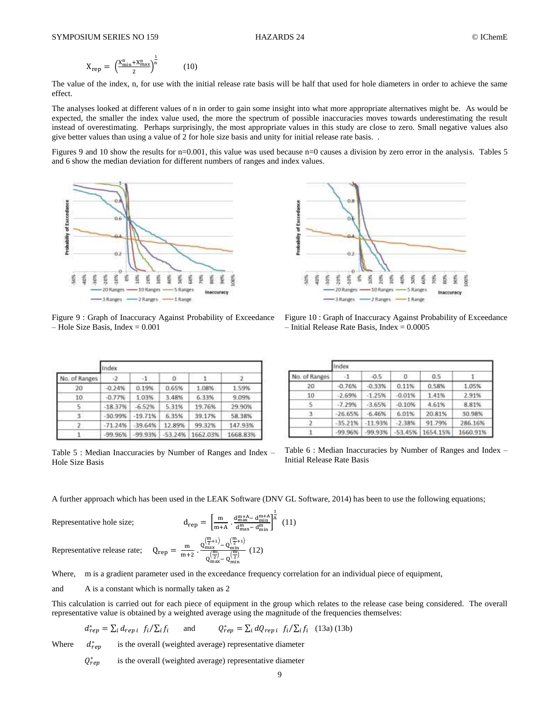$$
X_{rep} = \left(\frac{X_{min}^n + X_{max}^n}{2}\right)^{\frac{1}{n}} \tag{10}
$$

The value of the index, n, for use with the initial release rate basis will be half that used for hole diameters in order to achieve the same effect.

The analyses looked at different values of n in order to gain some insight into what more appropriate alternatives might be. As would be expected, the smaller the index value used, the more the spectrum of possible inaccuracies moves towards underestimating the result instead of overestimating. Perhaps surprisingly, the most appropriate values in this study are close to zero. Small negative values also give better values than using a value of 2 for hole size basis and unity for initial release rate basis. .

Figures 9 and 10 show the results for n=0.001, this value was used because n=0 causes a division by zero error in the analysis. Tables 5 and 6 show the median deviation for different numbers of ranges and index values.



Figure 9 : Graph of Inaccuracy Against Probability of Exceedance  $-$  Hole Size Basis, Index = 0.001

|               | Index     |           |           |          |          |  |  |  |  |  |  |
|---------------|-----------|-----------|-----------|----------|----------|--|--|--|--|--|--|
| No. of Ranges | - 2       | $-1$      |           |          |          |  |  |  |  |  |  |
| 20            | $-0.24%$  | 0.19%     | 0.65%     | 1.08%    | 1.59%    |  |  |  |  |  |  |
| 10            | $-0.77%$  | 1.03%     | 3.48%     | 6.33%    | 9.09%    |  |  |  |  |  |  |
| 5             | $-18.37%$ | $-6.52%$  | 5.31%     | 19.76%   | 29.90%   |  |  |  |  |  |  |
| $\rightarrow$ | $-30.99%$ | $-19.71%$ | 6.35%     | 39.17%   | 58.38%   |  |  |  |  |  |  |
|               | $-71.24%$ | $-39.64%$ | 12.89%    | 99.32%   | 147.93%  |  |  |  |  |  |  |
|               | $-99.96%$ | $-99.93%$ | $-53.24%$ | 1662.03% | 1668.83% |  |  |  |  |  |  |

Table 5 : Median Inaccuracies by Number of Ranges and Index – Hole Size Basis



Figure 10 : Graph of Inaccuracy Against Probability of Exceedance  $-$  Initial Release Rate Basis, Index =  $0.0005$ 

|                 | Index     |           |           |          |          |  |  |  |  |  |
|-----------------|-----------|-----------|-----------|----------|----------|--|--|--|--|--|
| No. of Ranges   |           | $-0.5$    | o         | 0.5      |          |  |  |  |  |  |
| 20              | $-0.76%$  | $-0.33%$  | 0.11%     | 0.58%    | 1.05%    |  |  |  |  |  |
| 10 <sup>°</sup> | $-2.69%$  | $-1.25%$  | $-0.01%$  | 1.41%    | 2.91%    |  |  |  |  |  |
| -5              | $-7.29%$  | $-3.65%$  | $-0.10%$  | 4.61%    | 8.81%    |  |  |  |  |  |
| 13.             | $-26.65%$ | $-6.46%$  | 6.01%     | 20.81%   | 30.98%   |  |  |  |  |  |
| z               | $-35.21%$ | $-11.93%$ | $-2.38%$  | 91.79%   | 286.16%  |  |  |  |  |  |
|                 | $-99.96%$ | $-99.93%$ | $-53.45%$ | 1654.15% | 1660.91% |  |  |  |  |  |

Table 6 : Median Inaccuracies by Number of Ranges and Index – Initial Release Rate Basis

A further approach which has been used in the LEAK Software (DNV GL Software, 2014) has been to use the following equations;

Representative hole size; d

$$
d_{rep} = \left[\frac{m}{m+A} \cdot \frac{d_{max}^{m+A} - d_{min}^{m+A}}{d_{max}^{m} - d_{min}^{m}}\right]^{\frac{1}{A}}
$$
(11)

Representative release rate;  $Q_{\text{rep}} = \frac{m}{m}$  $\frac{m}{m+2}$ .  $\frac{Q_{\text{max}}^{\left(\frac{m}{2}+1\right)}-Q_{\text{min}}^{\left(\frac{m}{2}+1\right)} }{Q_{\text{max}}^{\left(\frac{m}{2}\right)}-Q_{\text{min}}^{\left(\frac{m}{2}\right)}}$  $\frac{\frac{\text{max}}{\left(\frac{\text{m}}{2}\right)} - \left(\frac{\text{m}}{2}\right)}{\frac{\left(\frac{\text{m}}{2}\right)}{\text{max}} - \left(\frac{\text{m}}{2}\right)}$  (12)

Where, m is a gradient parameter used in the exceedance frequency correlation for an individual piece of equipment,

and A is a constant which is normally taken as 2

This calculation is carried out for each piece of equipment in the group which relates to the release case being considered. The overall representative value is obtained by a weighted average using the magnitude of the frequencies themselves:

$$
d_{rep}^* = \sum_i d_{rep \, i} f_i / \sum_i f_i \qquad \text{and} \qquad Q_{rep}^* = \sum_i dQ_{rep \, i} f_i / \sum_i f_i \quad (13a) \, (13b)
$$

Where  $d_{rep}^*$ is the overall (weighted average) representative diameter

> $Q_r^*$ is the overall (weighted average) representative diameter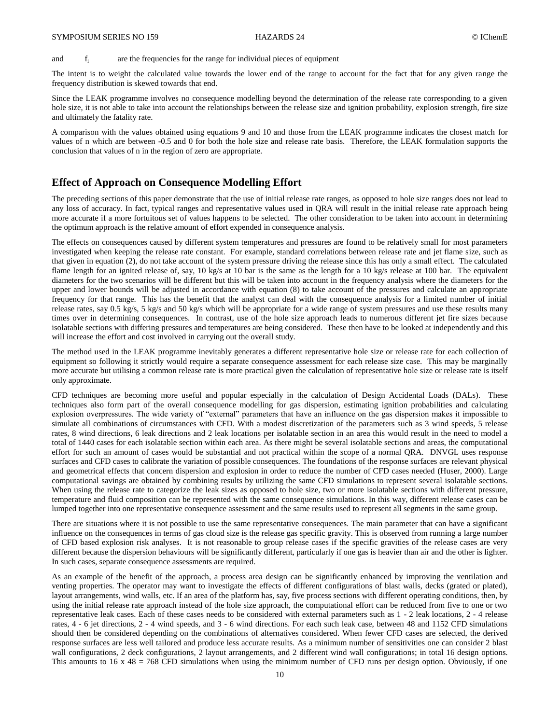and  $f_i$  are the frequencies for the range for individual pieces of equipment

The intent is to weight the calculated value towards the lower end of the range to account for the fact that for any given range the frequency distribution is skewed towards that end.

Since the LEAK programme involves no consequence modelling beyond the determination of the release rate corresponding to a given hole size, it is not able to take into account the relationships between the release size and ignition probability, explosion strength, fire size and ultimately the fatality rate.

A comparison with the values obtained using equations 9 and 10 and those from the LEAK programme indicates the closest match for values of n which are between -0.5 and 0 for both the hole size and release rate basis. Therefore, the LEAK formulation supports the conclusion that values of n in the region of zero are appropriate.

# **Effect of Approach on Consequence Modelling Effort**

The preceding sections of this paper demonstrate that the use of initial release rate ranges, as opposed to hole size ranges does not lead to any loss of accuracy. In fact, typical ranges and representative values used in QRA will result in the initial release rate approach being more accurate if a more fortuitous set of values happens to be selected. The other consideration to be taken into account in determining the optimum approach is the relative amount of effort expended in consequence analysis.

The effects on consequences caused by different system temperatures and pressures are found to be relatively small for most parameters investigated when keeping the release rate constant. For example, standard correlations between release rate and jet flame size, such as that given in equation (2), do not take account of the system pressure driving the release since this has only a small effect. The calculated flame length for an ignited release of, say, 10 kg/s at 10 bar is the same as the length for a 10 kg/s release at 100 bar. The equivalent diameters for the two scenarios will be different but this will be taken into account in the frequency analysis where the diameters for the upper and lower bounds will be adjusted in accordance with equation (8) to take account of the pressures and calculate an appropriate frequency for that range. This has the benefit that the analyst can deal with the consequence analysis for a limited number of initial release rates, say 0.5 kg/s, 5 kg/s and 50 kg/s which will be appropriate for a wide range of system pressures and use these results many times over in determining consequences. In contrast, use of the hole size approach leads to numerous different jet fire sizes because isolatable sections with differing pressures and temperatures are being considered. These then have to be looked at independently and this will increase the effort and cost involved in carrying out the overall study.

The method used in the LEAK programme inevitably generates a different representative hole size or release rate for each collection of equipment so following it strictly would require a separate consequence assessment for each release size case. This may be marginally more accurate but utilising a common release rate is more practical given the calculation of representative hole size or release rate is itself only approximate.

CFD techniques are becoming more useful and popular especially in the calculation of Design Accidental Loads (DALs). These techniques also form part of the overall consequence modelling for gas dispersion, estimating ignition probabilities and calculating explosion overpressures. The wide variety of "external" parameters that have an influence on the gas dispersion makes it impossible to simulate all combinations of circumstances with CFD. With a modest discretization of the parameters such as 3 wind speeds, 5 release rates, 8 wind directions, 6 leak directions and 2 leak locations per isolatable section in an area this would result in the need to model a total of 1440 cases for each isolatable section within each area. As there might be several isolatable sections and areas, the computational effort for such an amount of cases would be substantial and not practical within the scope of a normal QRA. DNVGL uses response surfaces and CFD cases to calibrate the variation of possible consequences. The foundations of the response surfaces are relevant physical and geometrical effects that concern dispersion and explosion in order to reduce the number of CFD cases needed (Huser, 2000). Large computational savings are obtained by combining results by utilizing the same CFD simulations to represent several isolatable sections. When using the release rate to categorize the leak sizes as opposed to hole size, two or more isolatable sections with different pressure, temperature and fluid composition can be represented with the same consequence simulations. In this way, different release cases can be lumped together into one representative consequence assessment and the same results used to represent all segments in the same group.

There are situations where it is not possible to use the same representative consequences. The main parameter that can have a significant influence on the consequences in terms of gas cloud size is the release gas specific gravity. This is observed from running a large number of CFD based explosion risk analyses. It is not reasonable to group release cases if the specific gravities of the release cases are very different because the dispersion behaviours will be significantly different, particularly if one gas is heavier than air and the other is lighter. In such cases, separate consequence assessments are required.

As an example of the benefit of the approach, a process area design can be significantly enhanced by improving the ventilation and venting properties. The operator may want to investigate the effects of different configurations of blast walls, decks (grated or plated), layout arrangements, wind walls, etc. If an area of the platform has, say, five process sections with different operating conditions, then, by using the initial release rate approach instead of the hole size approach, the computational effort can be reduced from five to one or two representative leak cases. Each of these cases needs to be considered with external parameters such as 1 - 2 leak locations, 2 - 4 release rates, 4 - 6 jet directions, 2 - 4 wind speeds, and 3 - 6 wind directions. For each such leak case, between 48 and 1152 CFD simulations should then be considered depending on the combinations of alternatives considered. When fewer CFD cases are selected, the derived response surfaces are less well tailored and produce less accurate results. As a minimum number of sensitivities one can consider 2 blast wall configurations, 2 deck configurations, 2 layout arrangements, and 2 different wind wall configurations; in total 16 design options. This amounts to  $16 \times 48 = 768$  CFD simulations when using the minimum number of CFD runs per design option. Obviously, if one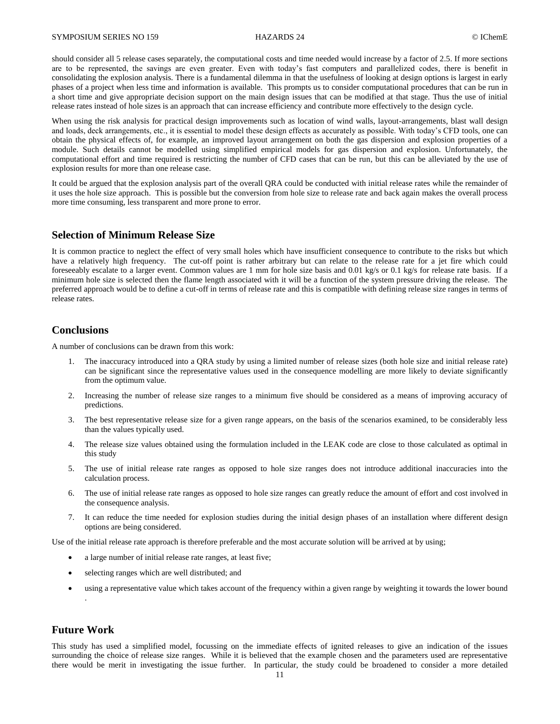should consider all 5 release cases separately, the computational costs and time needed would increase by a factor of 2.5. If more sections are to be represented, the savings are even greater. Even with today's fast computers and parallelized codes, there is benefit in consolidating the explosion analysis. There is a fundamental dilemma in that the usefulness of looking at design options is largest in early phases of a project when less time and information is available. This prompts us to consider computational procedures that can be run in a short time and give appropriate decision support on the main design issues that can be modified at that stage. Thus the use of initial release rates instead of hole sizes is an approach that can increase efficiency and contribute more effectively to the design cycle.

When using the risk analysis for practical design improvements such as location of wind walls, layout-arrangements, blast wall design and loads, deck arrangements, etc., it is essential to model these design effects as accurately as possible. With today's CFD tools, one can obtain the physical effects of, for example, an improved layout arrangement on both the gas dispersion and explosion properties of a module. Such details cannot be modelled using simplified empirical models for gas dispersion and explosion. Unfortunately, the computational effort and time required is restricting the number of CFD cases that can be run, but this can be alleviated by the use of explosion results for more than one release case.

It could be argued that the explosion analysis part of the overall QRA could be conducted with initial release rates while the remainder of it uses the hole size approach. This is possible but the conversion from hole size to release rate and back again makes the overall process more time consuming, less transparent and more prone to error.

# **Selection of Minimum Release Size**

It is common practice to neglect the effect of very small holes which have insufficient consequence to contribute to the risks but which have a relatively high frequency. The cut-off point is rather arbitrary but can relate to the release rate for a jet fire which could foreseeably escalate to a larger event. Common values are 1 mm for hole size basis and 0.01 kg/s or 0.1 kg/s for release rate basis. If a minimum hole size is selected then the flame length associated with it will be a function of the system pressure driving the release. The preferred approach would be to define a cut-off in terms of release rate and this is compatible with defining release size ranges in terms of release rates.

# **Conclusions**

A number of conclusions can be drawn from this work:

- 1. The inaccuracy introduced into a QRA study by using a limited number of release sizes (both hole size and initial release rate) can be significant since the representative values used in the consequence modelling are more likely to deviate significantly from the optimum value.
- 2. Increasing the number of release size ranges to a minimum five should be considered as a means of improving accuracy of predictions.
- 3. The best representative release size for a given range appears, on the basis of the scenarios examined, to be considerably less than the values typically used.
- 4. The release size values obtained using the formulation included in the LEAK code are close to those calculated as optimal in this study
- 5. The use of initial release rate ranges as opposed to hole size ranges does not introduce additional inaccuracies into the calculation process.
- 6. The use of initial release rate ranges as opposed to hole size ranges can greatly reduce the amount of effort and cost involved in the consequence analysis.
- 7. It can reduce the time needed for explosion studies during the initial design phases of an installation where different design options are being considered.

Use of the initial release rate approach is therefore preferable and the most accurate solution will be arrived at by using;

- a large number of initial release rate ranges, at least five;
- selecting ranges which are well distributed; and
- using a representative value which takes account of the frequency within a given range by weighting it towards the lower bound .

# **Future Work**

This study has used a simplified model, focussing on the immediate effects of ignited releases to give an indication of the issues surrounding the choice of release size ranges. While it is believed that the example chosen and the parameters used are representative there would be merit in investigating the issue further. In particular, the study could be broadened to consider a more detailed